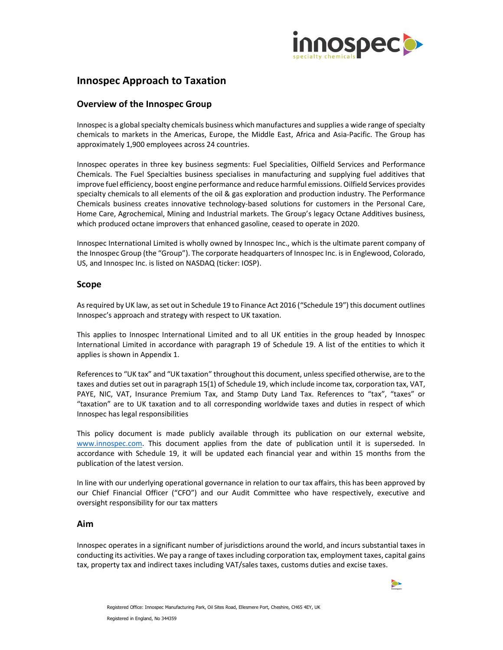

# Innospec Approach to Taxation

# Overview of the Innospec Group

Innospec is a global specialty chemicals business which manufactures and supplies a wide range of specialty chemicals to markets in the Americas, Europe, the Middle East, Africa and Asia-Pacific. The Group has approximately 1,900 employees across 24 countries.

Innospec operates in three key business segments: Fuel Specialities, Oilfield Services and Performance Chemicals. The Fuel Specialties business specialises in manufacturing and supplying fuel additives that improve fuel efficiency, boost engine performance and reduce harmful emissions. Oilfield Services provides specialty chemicals to all elements of the oil & gas exploration and production industry. The Performance Chemicals business creates innovative technology-based solutions for customers in the Personal Care, Home Care, Agrochemical, Mining and Industrial markets. The Group's legacy Octane Additives business, which produced octane improvers that enhanced gasoline, ceased to operate in 2020.

Innospec International Limited is wholly owned by Innospec Inc., which is the ultimate parent company of the Innospec Group (the "Group"). The corporate headquarters of Innospec Inc. is in Englewood, Colorado, US, and Innospec Inc. is listed on NASDAQ (ticker: IOSP).

#### Scope

As required by UK law, as set out in Schedule 19 to Finance Act 2016 ("Schedule 19") this document outlines Innospec's approach and strategy with respect to UK taxation.

This applies to Innospec International Limited and to all UK entities in the group headed by Innospec International Limited in accordance with paragraph 19 of Schedule 19. A list of the entities to which it applies is shown in Appendix 1.

References to "UK tax" and "UK taxation" throughout this document, unless specified otherwise, are to the taxes and duties set out in paragraph 15(1) of Schedule 19, which include income tax, corporation tax, VAT, PAYE, NIC, VAT, Insurance Premium Tax, and Stamp Duty Land Tax. References to "tax", "taxes" or "taxation" are to UK taxation and to all corresponding worldwide taxes and duties in respect of which Innospec has legal responsibilities

This policy document is made publicly available through its publication on our external website, www.innospec.com. This document applies from the date of publication until it is superseded. In accordance with Schedule 19, it will be updated each financial year and within 15 months from the publication of the latest version.

In line with our underlying operational governance in relation to our tax affairs, this has been approved by our Chief Financial Officer ("CFO") and our Audit Committee who have respectively, executive and oversight responsibility for our tax matters

#### Aim

Innospec operates in a significant number of jurisdictions around the world, and incurs substantial taxes in conducting its activities. We pay a range of taxes including corporation tax, employment taxes, capital gains tax, property tax and indirect taxes including VAT/sales taxes, customs duties and excise taxes.

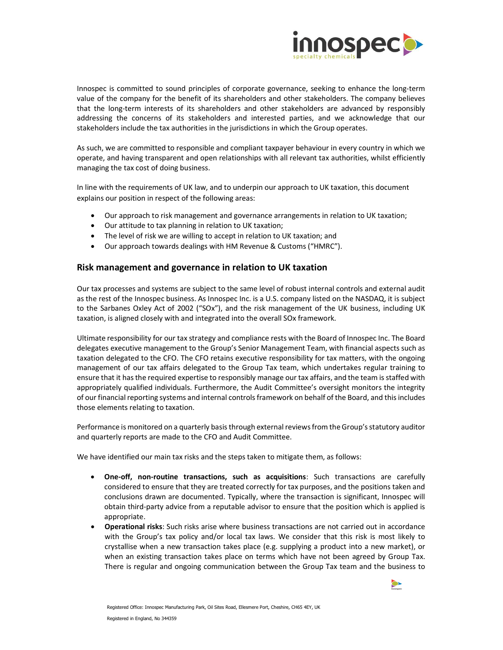

Innospec is committed to sound principles of corporate governance, seeking to enhance the long-term value of the company for the benefit of its shareholders and other stakeholders. The company believes that the long-term interests of its shareholders and other stakeholders are advanced by responsibly addressing the concerns of its stakeholders and interested parties, and we acknowledge that our stakeholders include the tax authorities in the jurisdictions in which the Group operates.

As such, we are committed to responsible and compliant taxpayer behaviour in every country in which we operate, and having transparent and open relationships with all relevant tax authorities, whilst efficiently managing the tax cost of doing business.

In line with the requirements of UK law, and to underpin our approach to UK taxation, this document explains our position in respect of the following areas:

- Our approach to risk management and governance arrangements in relation to UK taxation;
- Our attitude to tax planning in relation to UK taxation;
- The level of risk we are willing to accept in relation to UK taxation; and
- Our approach towards dealings with HM Revenue & Customs ("HMRC").

#### Risk management and governance in relation to UK taxation

Our tax processes and systems are subject to the same level of robust internal controls and external audit as the rest of the Innospec business. As Innospec Inc. is a U.S. company listed on the NASDAQ, it is subject to the Sarbanes Oxley Act of 2002 ("SOx"), and the risk management of the UK business, including UK taxation, is aligned closely with and integrated into the overall SOx framework.

Ultimate responsibility for our tax strategy and compliance rests with the Board of Innospec Inc. The Board delegates executive management to the Group's Senior Management Team, with financial aspects such as taxation delegated to the CFO. The CFO retains executive responsibility for tax matters, with the ongoing management of our tax affairs delegated to the Group Tax team, which undertakes regular training to ensure that it has the required expertise to responsibly manage our tax affairs, and the team is staffed with appropriately qualified individuals. Furthermore, the Audit Committee's oversight monitors the integrity of our financial reporting systems and internal controls framework on behalf of the Board, and this includes those elements relating to taxation.

Performance is monitored on a quarterly basis through external reviews from the Group's statutory auditor and quarterly reports are made to the CFO and Audit Committee.

We have identified our main tax risks and the steps taken to mitigate them, as follows:

- One-off, non-routine transactions, such as acquisitions: Such transactions are carefully considered to ensure that they are treated correctly for tax purposes, and the positions taken and conclusions drawn are documented. Typically, where the transaction is significant, Innospec will obtain third-party advice from a reputable advisor to ensure that the position which is applied is appropriate.
- Operational risks: Such risks arise where business transactions are not carried out in accordance with the Group's tax policy and/or local tax laws. We consider that this risk is most likely to crystallise when a new transaction takes place (e.g. supplying a product into a new market), or when an existing transaction takes place on terms which have not been agreed by Group Tax. There is regular and ongoing communication between the Group Tax team and the business to

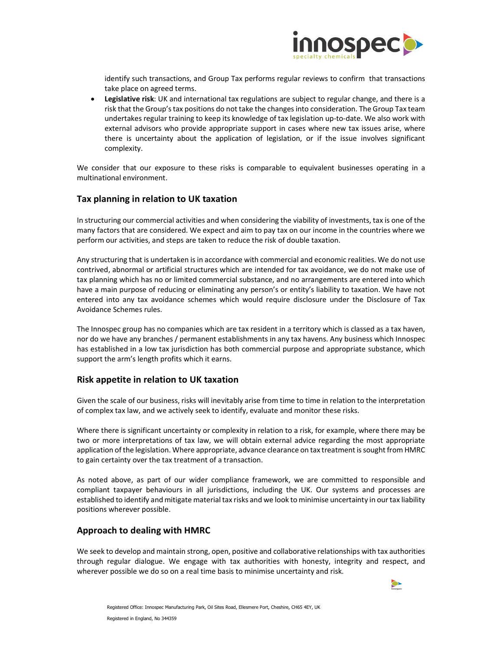

identify such transactions, and Group Tax performs regular reviews to confirm that transactions take place on agreed terms.

**•** Legislative risk: UK and international tax regulations are subject to regular change, and there is a risk that the Group's tax positions do not take the changes into consideration. The Group Tax team undertakes regular training to keep its knowledge of tax legislation up-to-date. We also work with external advisors who provide appropriate support in cases where new tax issues arise, where there is uncertainty about the application of legislation, or if the issue involves significant complexity.

We consider that our exposure to these risks is comparable to equivalent businesses operating in a multinational environment.

## Tax planning in relation to UK taxation

In structuring our commercial activities and when considering the viability of investments, tax is one of the many factors that are considered. We expect and aim to pay tax on our income in the countries where we perform our activities, and steps are taken to reduce the risk of double taxation.

Any structuring that is undertaken is in accordance with commercial and economic realities. We do not use contrived, abnormal or artificial structures which are intended for tax avoidance, we do not make use of tax planning which has no or limited commercial substance, and no arrangements are entered into which have a main purpose of reducing or eliminating any person's or entity's liability to taxation. We have not entered into any tax avoidance schemes which would require disclosure under the Disclosure of Tax Avoidance Schemes rules.

The Innospec group has no companies which are tax resident in a territory which is classed as a tax haven, nor do we have any branches / permanent establishments in any tax havens. Any business which Innospec has established in a low tax jurisdiction has both commercial purpose and appropriate substance, which support the arm's length profits which it earns.

#### Risk appetite in relation to UK taxation

Given the scale of our business, risks will inevitably arise from time to time in relation to the interpretation of complex tax law, and we actively seek to identify, evaluate and monitor these risks.

Where there is significant uncertainty or complexity in relation to a risk, for example, where there may be two or more interpretations of tax law, we will obtain external advice regarding the most appropriate application of the legislation. Where appropriate, advance clearance on tax treatment is sought from HMRC to gain certainty over the tax treatment of a transaction.

As noted above, as part of our wider compliance framework, we are committed to responsible and compliant taxpayer behaviours in all jurisdictions, including the UK. Our systems and processes are established to identify and mitigate material tax risks and we look to minimise uncertainty in our tax liability positions wherever possible.

#### Approach to dealing with HMRC

We seek to develop and maintain strong, open, positive and collaborative relationships with tax authorities through regular dialogue. We engage with tax authorities with honesty, integrity and respect, and wherever possible we do so on a real time basis to minimise uncertainty and risk.

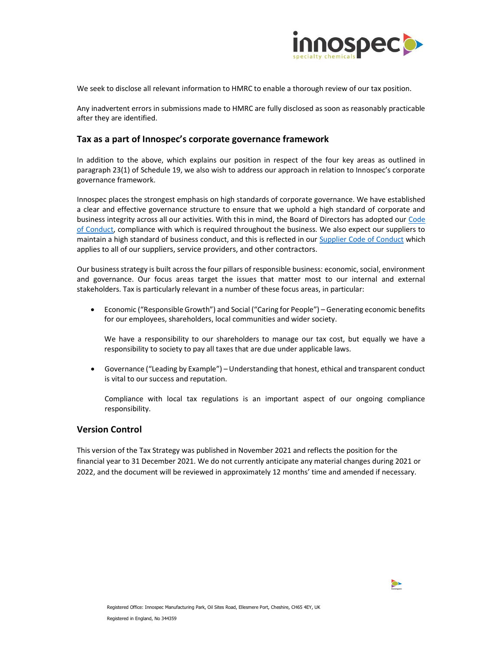

We seek to disclose all relevant information to HMRC to enable a thorough review of our tax position.

Any inadvertent errors in submissions made to HMRC are fully disclosed as soon as reasonably practicable after they are identified.

## Tax as a part of Innospec's corporate governance framework

In addition to the above, which explains our position in respect of the four key areas as outlined in paragraph 23(1) of Schedule 19, we also wish to address our approach in relation to Innospec's corporate governance framework.

Innospec places the strongest emphasis on high standards of corporate governance. We have established a clear and effective governance structure to ensure that we uphold a high standard of corporate and business integrity across all our activities. With this in mind, the Board of Directors has adopted our Code of Conduct, compliance with which is required throughout the business. We also expect our suppliers to maintain a high standard of business conduct, and this is reflected in our Supplier Code of Conduct which applies to all of our suppliers, service providers, and other contractors.

Our business strategy is built across the four pillars of responsible business: economic, social, environment and governance. Our focus areas target the issues that matter most to our internal and external stakeholders. Tax is particularly relevant in a number of these focus areas, in particular:

 Economic ("Responsible Growth") and Social ("Caring for People") – Generating economic benefits for our employees, shareholders, local communities and wider society.

We have a responsibility to our shareholders to manage our tax cost, but equally we have a responsibility to society to pay all taxes that are due under applicable laws.

 Governance ("Leading by Example") – Understanding that honest, ethical and transparent conduct is vital to our success and reputation.

Compliance with local tax regulations is an important aspect of our ongoing compliance responsibility.

#### Version Control

This version of the Tax Strategy was published in November 2021 and reflects the position for the financial year to 31 December 2021. We do not currently anticipate any material changes during 2021 or 2022, and the document will be reviewed in approximately 12 months' time and amended if necessary.